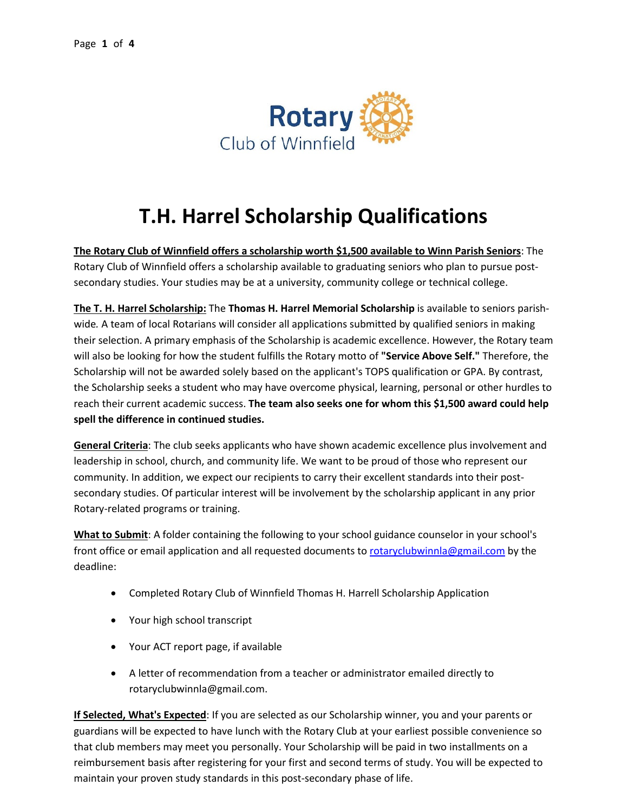

## **T.H. Harrel Scholarship Qualifications**

**The Rotary Club of Winnfield offers a scholarship worth \$1,500 available to Winn Parish Seniors**: The Rotary Club of Winnfield offers a scholarship available to graduating seniors who plan to pursue postsecondary studies. Your studies may be at a university, community college or technical college.

**The T. H. Harrel Scholarship:** The **Thomas H. Harrel Memorial Scholarship** is available to seniors parishwide*.* A team of local Rotarians will consider all applications submitted by qualified seniors in making their selection. A primary emphasis of the Scholarship is academic excellence. However, the Rotary team will also be looking for how the student fulfills the Rotary motto of **"Service Above Self."** Therefore, the Scholarship will not be awarded solely based on the applicant's TOPS qualification or GPA. By contrast, the Scholarship seeks a student who may have overcome physical, learning, personal or other hurdles to reach their current academic success. **The team also seeks one for whom this \$1,500 award could help spell the difference in continued studies.**

**General Criteria**: The club seeks applicants who have shown academic excellence plus involvement and leadership in school, church, and community life. We want to be proud of those who represent our community. In addition, we expect our recipients to carry their excellent standards into their postsecondary studies. Of particular interest will be involvement by the scholarship applicant in any prior Rotary-related programs or training.

**What to Submit**: A folder containing the following to your school guidance counselor in your school's front office or email application and all requested documents t[o rotaryclubwinnla@gmail.com](mailto:rotaryclubwinnla@gmail.com) by the deadline:

- Completed Rotary Club of Winnfield Thomas H. Harrell Scholarship Application
- Your high school transcript
- Your ACT report page, if available
- A letter of recommendation from a teacher or administrator emailed directly to rotaryclubwinnla@gmail.com.

**If Selected, What's Expected**: If you are selected as our Scholarship winner, you and your parents or guardians will be expected to have lunch with the Rotary Club at your earliest possible convenience so that club members may meet you personally. Your Scholarship will be paid in two installments on a reimbursement basis after registering for your first and second terms of study. You will be expected to maintain your proven study standards in this post-secondary phase of life.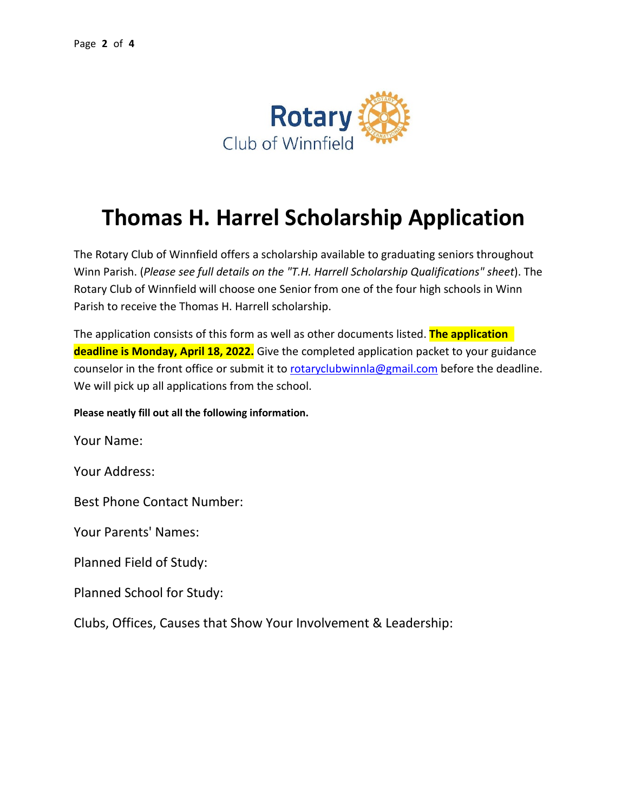

## **Thomas H. Harrel Scholarship Application**

The Rotary Club of Winnfield offers a scholarship available to graduating seniors throughout Winn Parish. (*Please see full details on the "T.H. Harrell Scholarship Qualifications" sheet*). The Rotary Club of Winnfield will choose one Senior from one of the four high schools in Winn Parish to receive the Thomas H. Harrell scholarship.

The application consists of this form as well as other documents listed. **The application deadline is Monday, April 18, 2022.** Give the completed application packet to your guidance counselor in the front office or submit it to [rotaryclubwinnla@gmail.com](mailto:rotaryclubwinnla@gmail.com) before the deadline. We will pick up all applications from the school.

**Please neatly fill out all the following information.** 

Your Name:

Your Address:

Best Phone Contact Number:

Your Parents' Names:

Planned Field of Study:

Planned School for Study:

Clubs, Offices, Causes that Show Your Involvement & Leadership: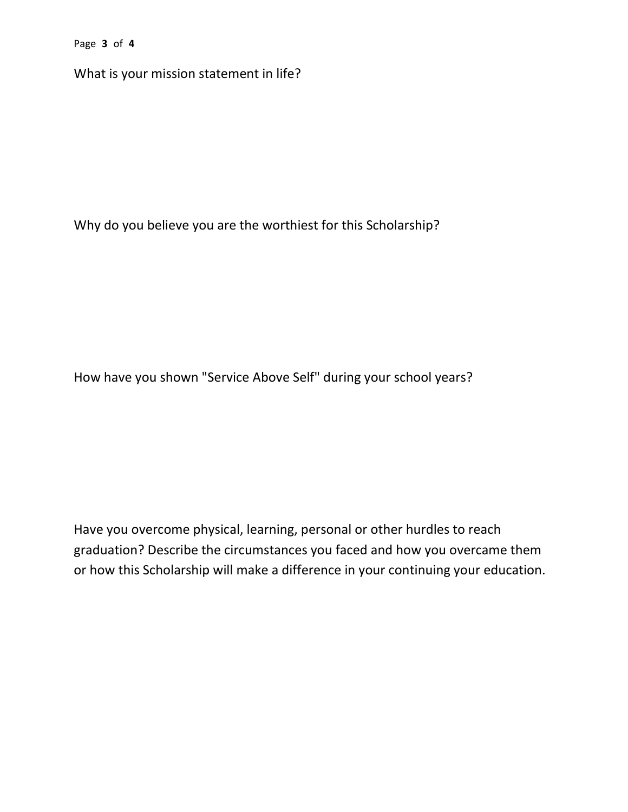Page **3** of **4**

What is your mission statement in life?

Why do you believe you are the worthiest for this Scholarship?

How have you shown "Service Above Self" during your school years?

Have you overcome physical, learning, personal or other hurdles to reach graduation? Describe the circumstances you faced and how you overcame them or how this Scholarship will make a difference in your continuing your education.